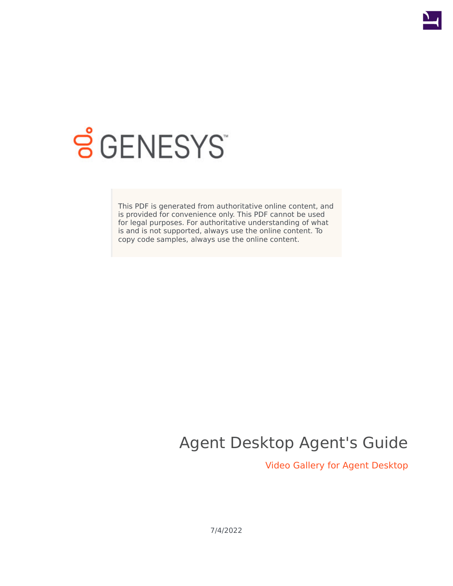

# **SGENESYS**

This PDF is generated from authoritative online content, and is provided for convenience only. This PDF cannot be used for legal purposes. For authoritative understanding of what is and is not supported, always use the online content. To copy code samples, always use the online content.

## Agent Desktop Agent's Guide

Video Gallery for Agent Desktop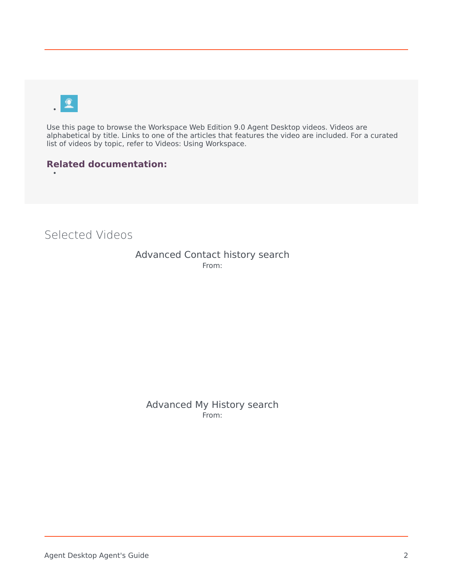•

Use this page to browse the Workspace Web Edition 9.0 Agent Desktop videos. Videos are alphabetical by title. Links to one of the articles that features the video are included. For a curated list of videos by topic, refer to Videos: Using Workspace.

#### **Related documentation:**

<span id="page-1-0"></span>Selected Videos

Advanced Contact history search From:

Advanced My History search From: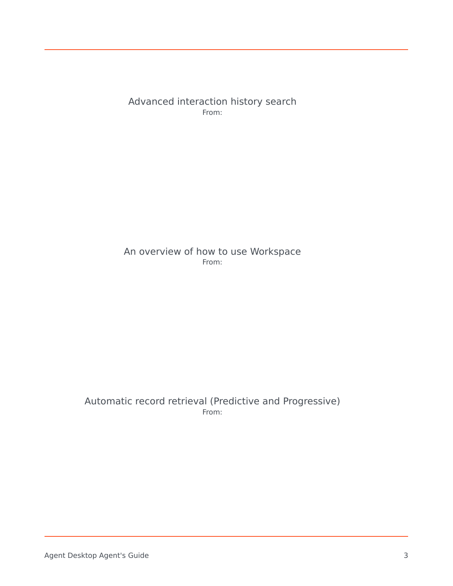Advanced interaction history search From:

#### An overview of how to use Workspace From:

#### Automatic record retrieval (Predictive and Progressive) From: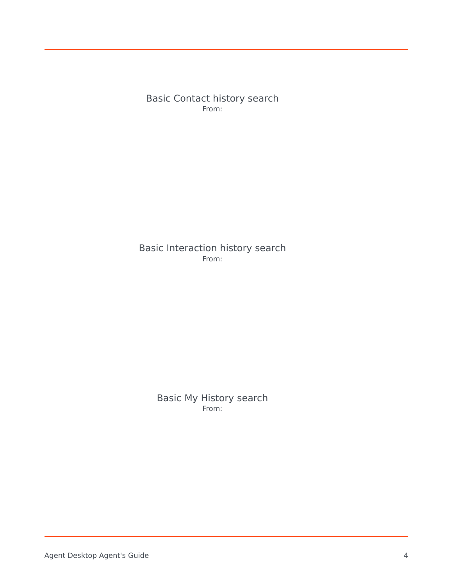Basic Contact history search From:

Basic Interaction history search From:

> Basic My History search From: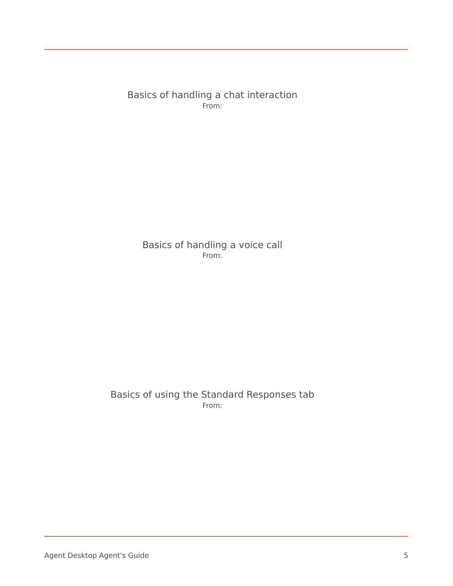Basics of handling a chat interaction From:

Basics of handling a voice call From:

Basics of using the Standard Responses tab From: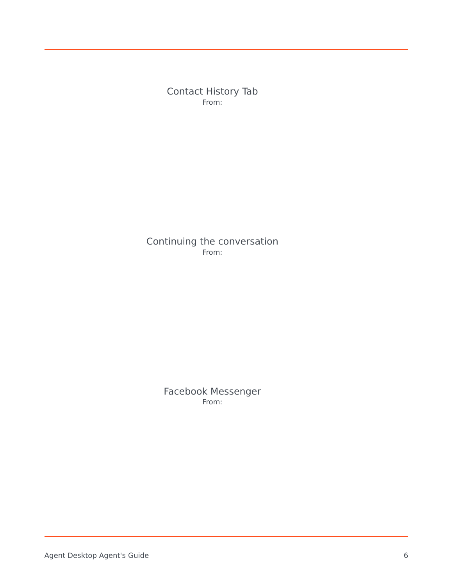Contact History Tab From:

Continuing the conversation From:

> Facebook Messenger From: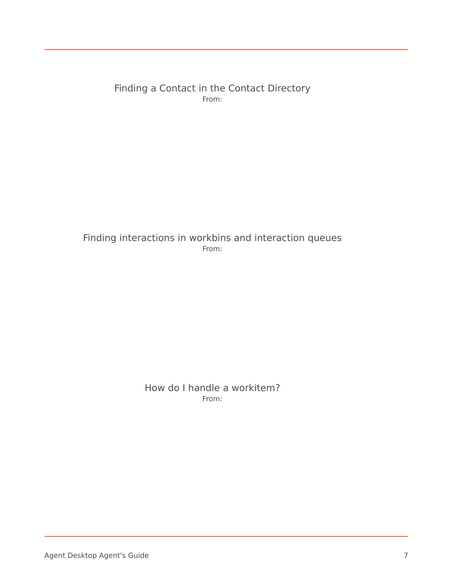Finding a Contact in the Contact Directory From:

Finding interactions in workbins and interaction queues From:

> How do I handle a workitem? From: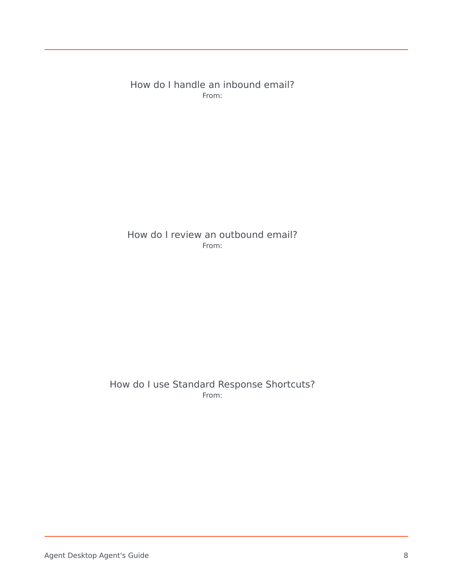How do I handle an inbound email? From:

How do I review an outbound email? From:

How do I use Standard Response Shortcuts? From: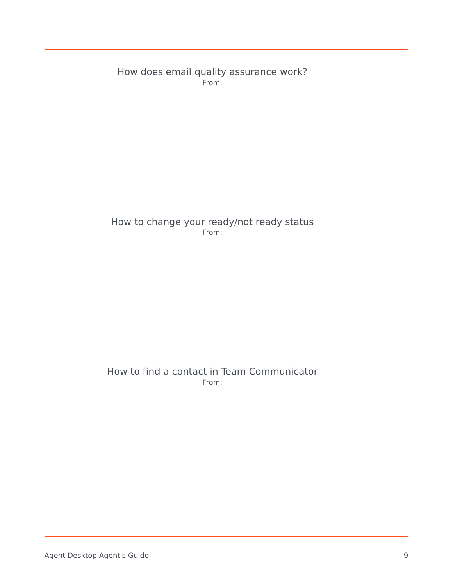How does email quality assurance work? From:

How to change your ready/not ready status From:

#### How to find a contact in Team Communicator From: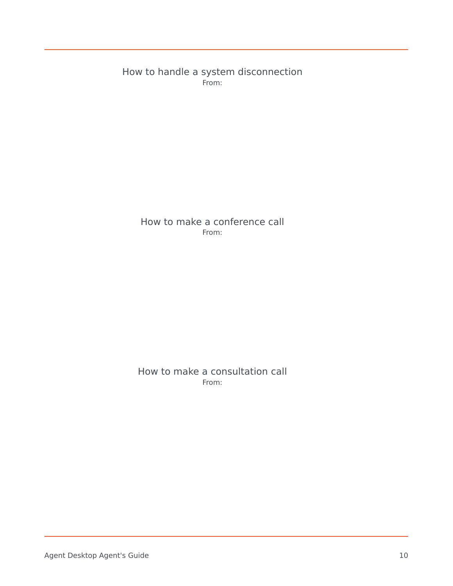How to handle a system disconnection From:

How to make a conference call From:

How to make a consultation call From: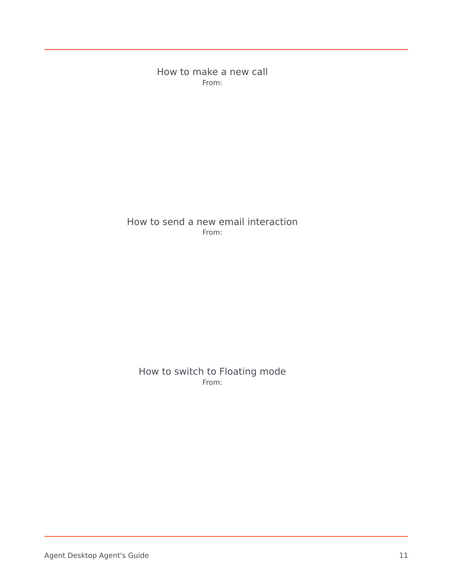How to make a new call From:

How to send a new email interaction From:

How to switch to Floating mode From: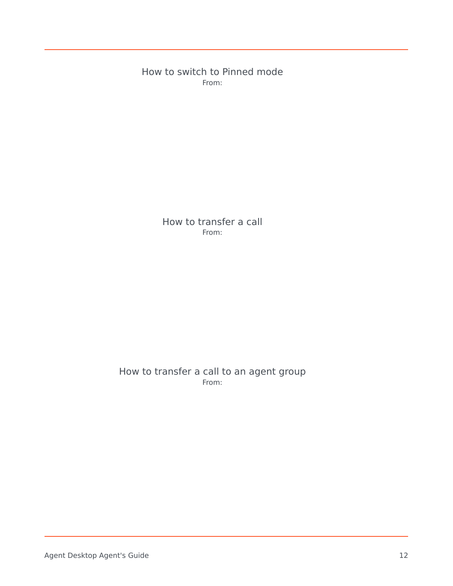How to switch to Pinned mode From:

> How to transfer a call From:

How to transfer a call to an agent group From: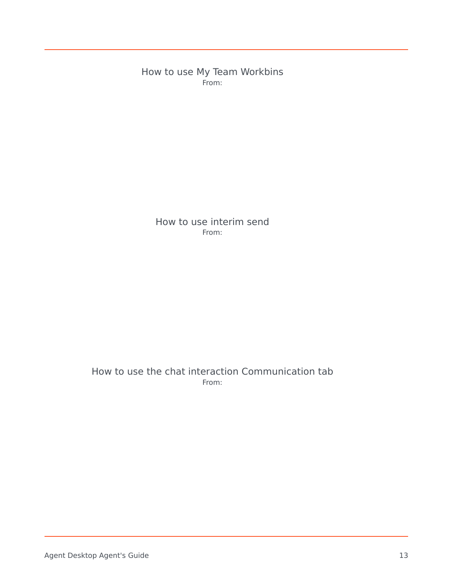How to use My Team Workbins From:

> How to use interim send From:

#### How to use the chat interaction Communication tab From: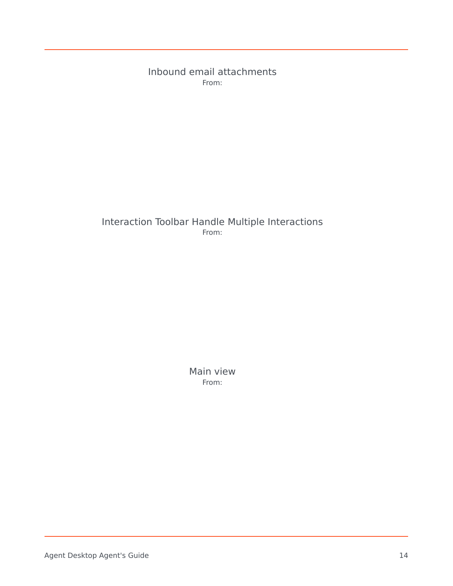Inbound email attachments From:

#### Interaction Toolbar Handle Multiple Interactions From:

Main view From: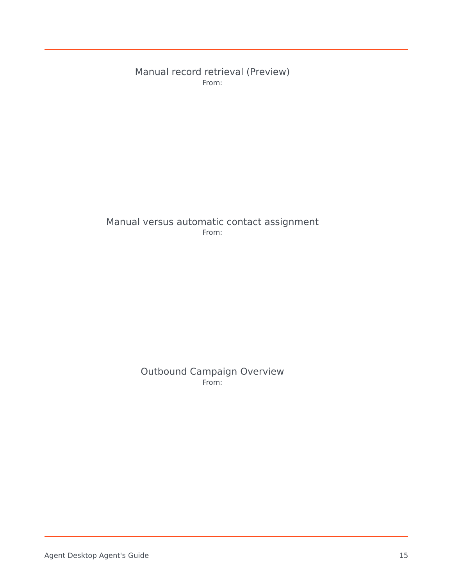Manual record retrieval (Preview) From:

#### Manual versus automatic contact assignment From:

#### Outbound Campaign Overview From: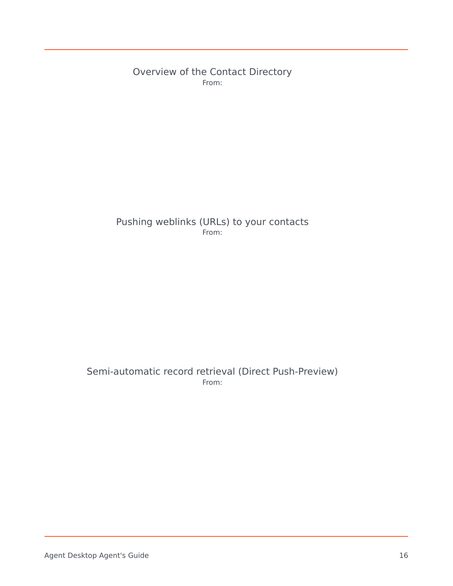Overview of the Contact Directory From:

#### Pushing weblinks (URLs) to your contacts From:

#### Semi-automatic record retrieval (Direct Push-Preview) From: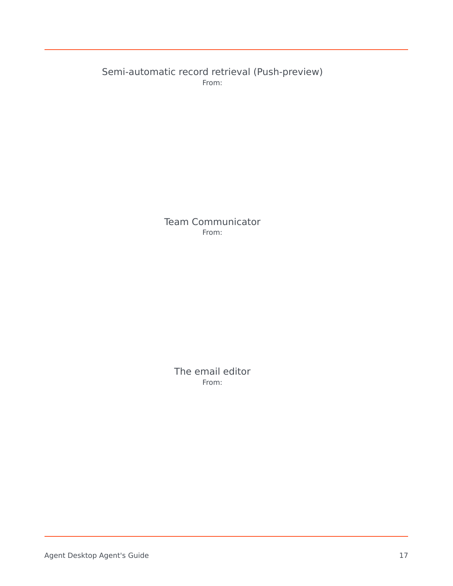Semi-automatic record retrieval (Push-preview) From:

> Team Communicator From:

> > The email editor From: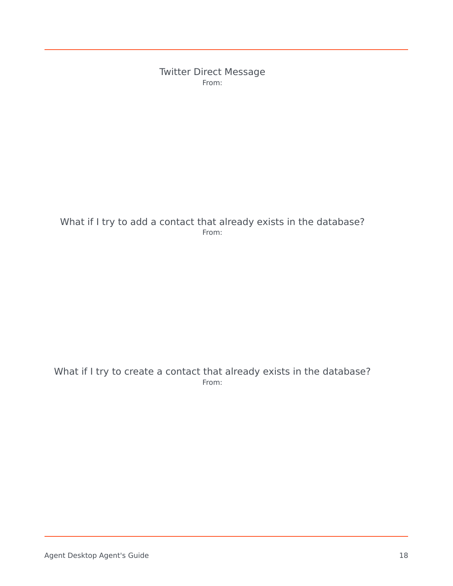Twitter Direct Message From:

#### What if I try to add a contact that already exists in the database? From:

What if I try to create a contact that already exists in the database? From: